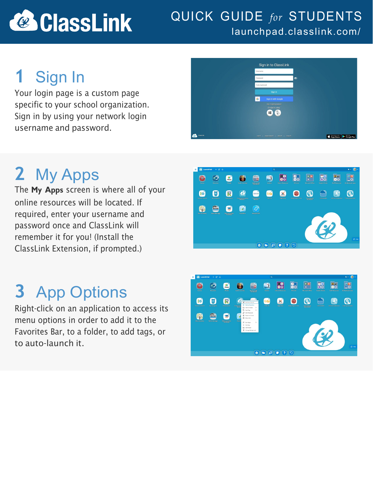# & ClassLink

#### QUICK GUIDE *for* STUDENTS launchpad.classlink.com/

# **1** Sign In

Your login page is a custom page specific to your school organization. Sign in by using your network login username and password.



## **2** My Apps

The **My Apps** screen is where all of your online resources will be located. If required, enter your username and password once and ClassLink will remember it for you! (Install the ClassLink Extension, if prompted.)

## **3** App Options

. Right-click on an application to access its menu options in order to add it to the Favorites Bar, to a folder, to add tags, or to auto-launch it.